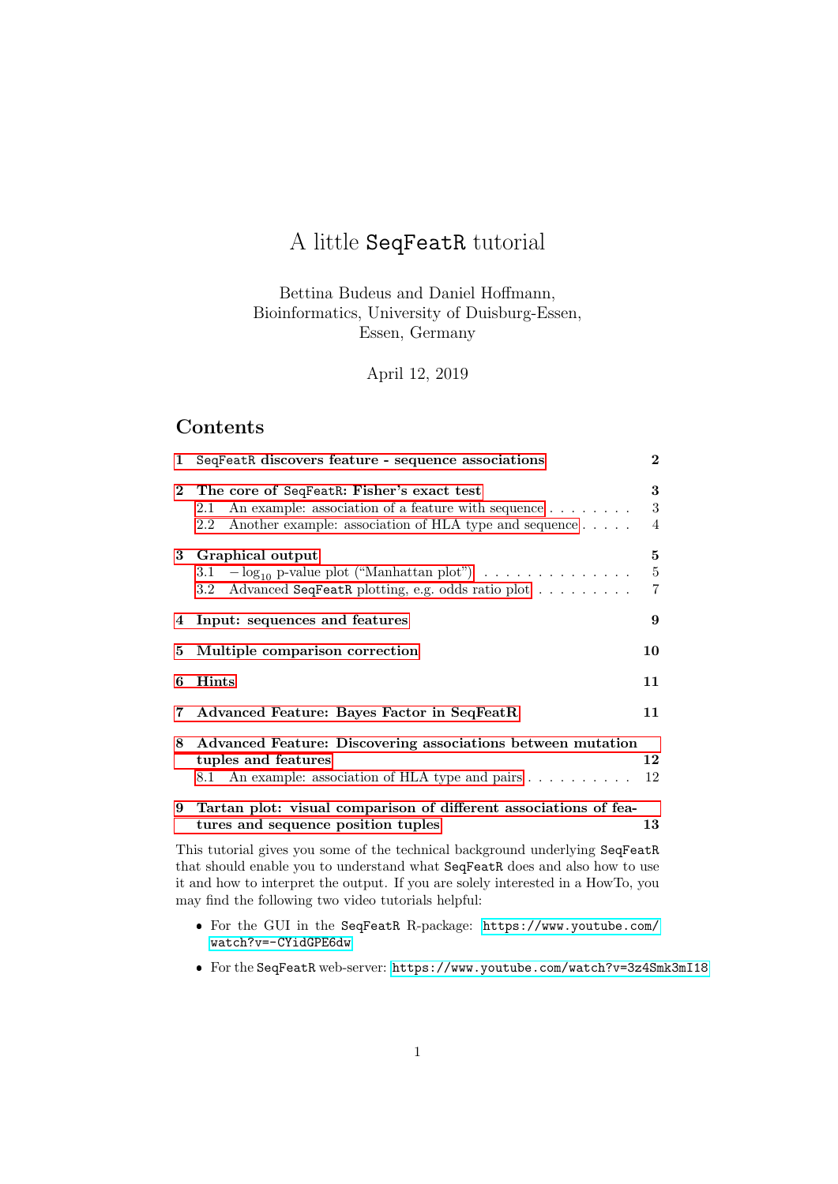# A little SeqFeatR tutorial

## Bettina Budeus and Daniel Hoffmann, Bioinformatics, University of Duisburg-Essen, Essen, Germany

April 12, 2019

# Contents

| 1            | SeqFeatR discovers feature - sequence associations                                                                                                                                                                                              |                                |  |  |  |
|--------------|-------------------------------------------------------------------------------------------------------------------------------------------------------------------------------------------------------------------------------------------------|--------------------------------|--|--|--|
| $\mathbf{2}$ | The core of SeqFeatR: Fisher's exact test<br>An example: association of a feature with sequence $\dots \dots$<br>2.1<br>Another example: association of HLA type and sequence<br>2.2                                                            | 3<br>3<br>4                    |  |  |  |
|              | 3 Graphical output<br>3.1 $-\log_{10}$ p-value plot ("Manhattan plot") $\ldots \ldots \ldots \ldots$<br>Advanced SeqFeatR plotting, e.g. odds ratio plot<br>$3.2\,$                                                                             | 5<br>$\bf 5$<br>$\overline{7}$ |  |  |  |
| 4            | 9<br>Input: sequences and features                                                                                                                                                                                                              |                                |  |  |  |
| 5            | Multiple comparison correction<br>10                                                                                                                                                                                                            |                                |  |  |  |
| 6            | <b>Hints</b>                                                                                                                                                                                                                                    | 11                             |  |  |  |
| 7            | Advanced Feature: Bayes Factor in SeqFeatR                                                                                                                                                                                                      | 11                             |  |  |  |
| 8            | Advanced Feature: Discovering associations between mutation<br>tuples and features<br>8.1 An example: association of HLA type and pairs                                                                                                         | 12<br>12                       |  |  |  |
| 9            | Tartan plot: visual comparison of different associations of fea-<br>tures and sequence position tuples                                                                                                                                          | 13                             |  |  |  |
|              | This tutorial gives you some of the technical background underlying SeqFeatR<br>that should enable you to understand what SeqFeatR does and also how to use<br>it and how to interpret the output. If you are solely interested in a HowTo, you |                                |  |  |  |

it and how to interpret the output. If you are solely interested in a HowTo, you may find the following two video tutorials helpful:

- For the GUI in the SeqFeatR R-package: [https://www.youtube.com/](https://www.youtube.com/watch?v=-CYidGPE6dw) [watch?v=-CYidGPE6dw](https://www.youtube.com/watch?v=-CYidGPE6dw)
- For the SeqFeatR web-server: <https://www.youtube.com/watch?v=3z4Smk3mI18>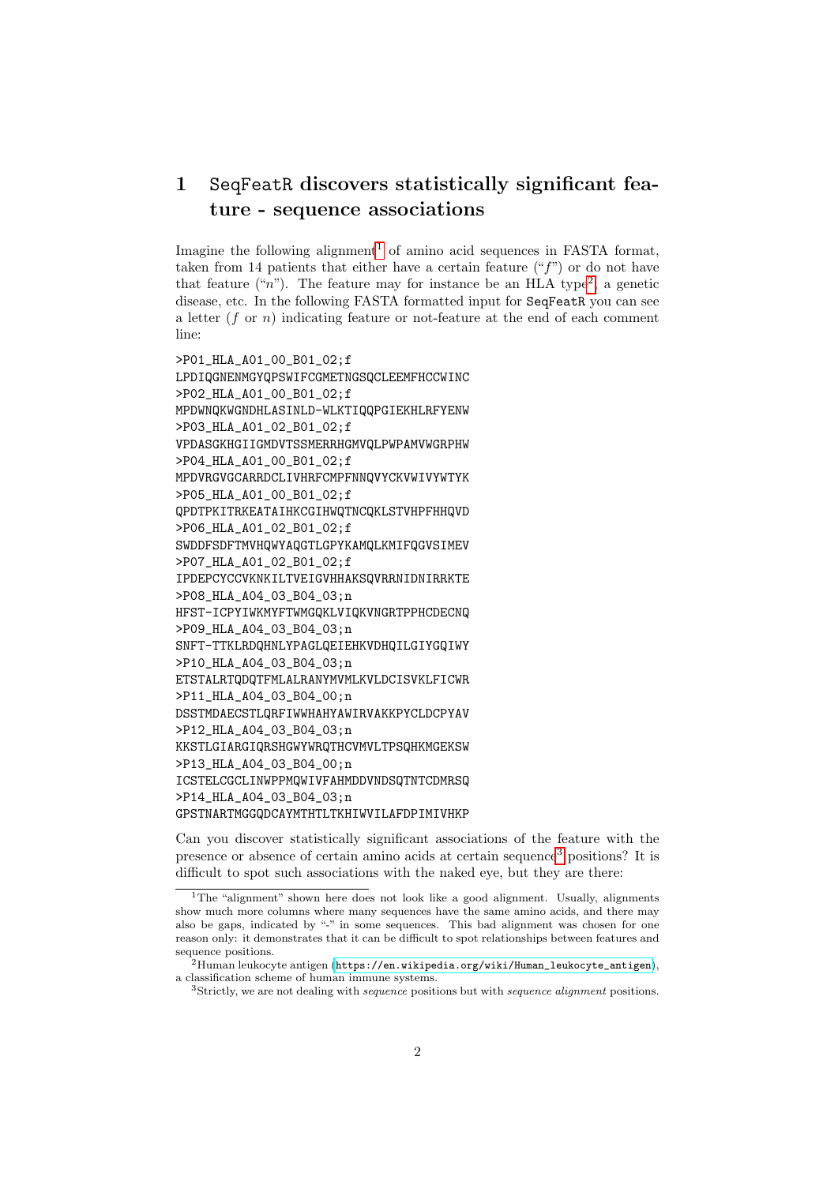# <span id="page-1-0"></span>1 SeqFeatR discovers statistically significant feature - sequence associations

Imagine the following alignment<sup>[1](#page-1-1)</sup> of amino acid sequences in FASTA format, taken from 14 patients that either have a certain feature  $("f")$  or do not have that feature ("n"). The feature may for instance be an HLA type<sup>[2](#page-1-2)</sup>, a genetic disease, etc. In the following FASTA formatted input for SeqFeatR you can see a letter  $(f \text{ or } n)$  indicating feature or not-feature at the end of each comment line:

>P01\_HLA\_A01\_00\_B01\_02;f LPDIQGNENMGYQPSWIFCGMETNGSQCLEEMFHCCWINC >P02\_HLA\_A01\_00\_B01\_02;f MPDWNQKWGNDHLASINLD-WLKTIQQPGIEKHLRFYENW >P03\_HLA\_A01\_02\_B01\_02;f VPDASGKHGIIGMDVTSSMERRHGMVQLPWPAMVWGRPHW >P04\_HLA\_A01\_00\_B01\_02;f MPDVRGVGCARRDCLIVHRFCMPFNNQVYCKVWIVYWTYK >P05\_HLA\_A01\_00\_B01\_02;f QPDTPKITRKEATAIHKCGIHWQTNCQKLSTVHPFHHQVD >P06\_HLA\_A01\_02\_B01\_02;f SWDDFSDFTMVHQWYAQGTLGPYKAMQLKMIFQGVSIMEV >P07\_HLA\_A01\_02\_B01\_02;f IPDEPCYCCVKNKILTVEIGVHHAKSQVRRNIDNIRRKTE >P08\_HLA\_A04\_03\_B04\_03;n HFST-ICPYIWKMYFTWMGQKLVIQKVNGRTPPHCDECNQ >P09\_HLA\_A04\_03\_B04\_03;n SNFT-TTKLRDQHNLYPAGLQEIEHKVDHQILGIYGQIWY >P10\_HLA\_A04\_03\_B04\_03;n ETSTALRTQDQTFMLALRANYMVMLKVLDCISVKLFICWR >P11\_HLA\_A04\_03\_B04\_00;n DSSTMDAECSTLQRFIWWHAHYAWIRVAKKPYCLDCPYAV >P12\_HLA\_A04\_03\_B04\_03;n KKSTLGIARGIQRSHGWYWRQTHCVMVLTPSQHKMGEKSW >P13\_HLA\_A04\_03\_B04\_00;n ICSTELCGCLINWPPMQWIVFAHMDDVNDSQTNTCDMRSQ >P14\_HLA\_A04\_03\_B04\_03;n GPSTNARTMGGQDCAYMTHTLTKHIWVILAFDPIMIVHKP

Can you discover statistically significant associations of the feature with the presence or absence of certain amino acids at certain sequence[3](#page-1-3) positions? It is difficult to spot such associations with the naked eye, but they are there:

<span id="page-1-1"></span><sup>&</sup>lt;sup>1</sup>The "alignment" shown here does not look like a good alignment. Usually, alignments show much more columns where many sequences have the same amino acids, and there may also be gaps, indicated by "-" in some sequences. This bad alignment was chosen for one reason only: it demonstrates that it can be difficult to spot relationships between features and sequence positions.

<span id="page-1-2"></span> $^{2}$ Human leukocyte antigen ([https://en.wikipedia.org/wiki/Human\\_leukocyte\\_antigen](https://en.wikipedia.org/wiki/Human_leukocyte_antigen)), a classification scheme of human immune systems.

<span id="page-1-3"></span><sup>&</sup>lt;sup>3</sup>Strictly, we are not dealing with *sequence* positions but with *sequence alignment* positions.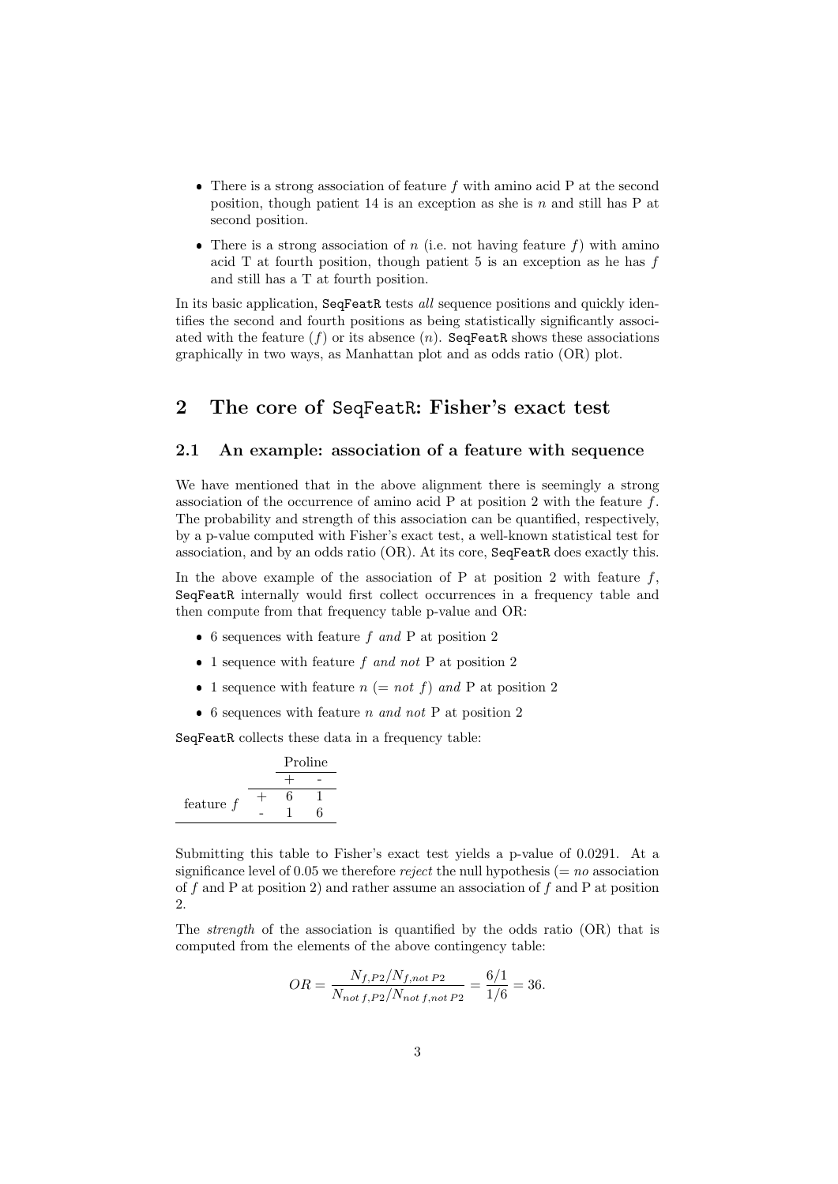- There is a strong association of feature  $f$  with amino acid P at the second position, though patient 14 is an exception as she is  $n$  and still has P at second position.
- There is a strong association of n (i.e. not having feature  $f$ ) with amino acid  $T$  at fourth position, though patient 5 is an exception as he has  $f$ and still has a T at fourth position.

In its basic application, SeqFeatR tests all sequence positions and quickly identifies the second and fourth positions as being statistically significantly associated with the feature  $(f)$  or its absence  $(n)$ . SeqFeatR shows these associations graphically in two ways, as Manhattan plot and as odds ratio (OR) plot.

### <span id="page-2-0"></span>2 The core of SeqFeatR: Fisher's exact test

### <span id="page-2-1"></span>2.1 An example: association of a feature with sequence

We have mentioned that in the above alignment there is seemingly a strong association of the occurrence of amino acid  $P$  at position 2 with the feature  $f$ . The probability and strength of this association can be quantified, respectively, by a p-value computed with Fisher's exact test, a well-known statistical test for association, and by an odds ratio (OR). At its core, SeqFeatR does exactly this.

In the above example of the association of P at position 2 with feature  $f$ , SeqFeatR internally would first collect occurrences in a frequency table and then compute from that frequency table p-value and OR:

- 6 sequences with feature  $f$  and P at position 2
- 1 sequence with feature  $f$  and not P at position 2
- 1 sequence with feature  $n (= not f)$  and P at position 2
- 6 sequences with feature n and not P at position 2

SeqFeatR collects these data in a frequency table:

|             | Proline |  |
|-------------|---------|--|
|             |         |  |
|             |         |  |
| feature $f$ |         |  |

Submitting this table to Fisher's exact test yields a p-value of 0.0291. At a significance level of 0.05 we therefore *reject* the null hypothesis ( $= no$  association of f and P at position 2) and rather assume an association of f and P at position 2.

The strength of the association is quantified by the odds ratio (OR) that is computed from the elements of the above contingency table:

$$
OR = \frac{N_{f,P2}/N_{f,not\ P2}}{N_{not\ f,P2}/N_{not\ f,not\ P2}} = \frac{6/1}{1/6} = 36.
$$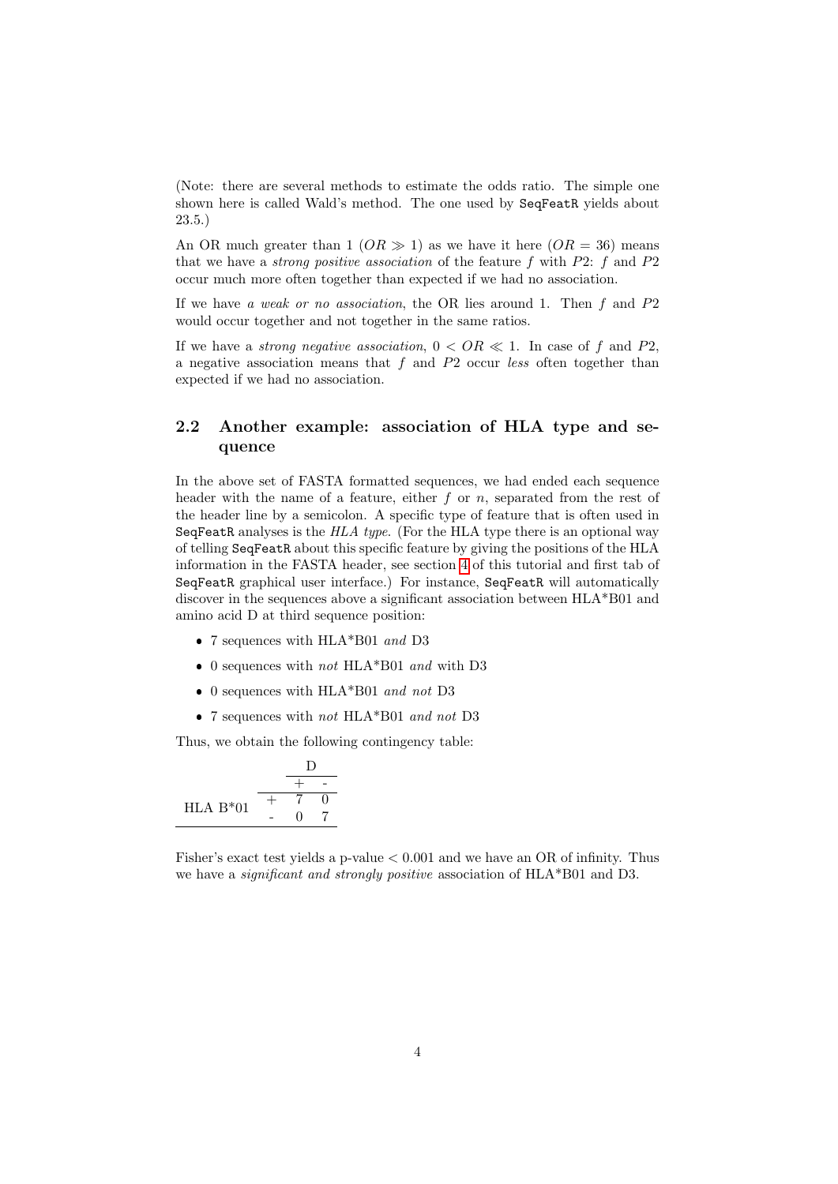(Note: there are several methods to estimate the odds ratio. The simple one shown here is called Wald's method. The one used by SeqFeatR yields about 23.5.)

An OR much greater than 1 ( $OR \gg 1$ ) as we have it here ( $OR = 36$ ) means that we have a *strong positive association* of the feature  $f$  with  $P2$ :  $f$  and  $P2$ occur much more often together than expected if we had no association.

If we have a weak or no association, the OR lies around 1. Then  $f$  and  $P2$ would occur together and not together in the same ratios.

If we have a *strong negative association*,  $0 < OR \ll 1$ . In case of f and P2, a negative association means that  $f$  and  $P2$  occur less often together than expected if we had no association.

### <span id="page-3-0"></span>2.2 Another example: association of HLA type and sequence

In the above set of FASTA formatted sequences, we had ended each sequence header with the name of a feature, either  $f$  or  $n$ , separated from the rest of the header line by a semicolon. A specific type of feature that is often used in SeqFeatR analyses is the  $HLA$  type. (For the HLA type there is an optional way of telling SeqFeatR about this specific feature by giving the positions of the HLA information in the FASTA header, see section [4](#page-8-0) of this tutorial and first tab of SeqFeatR graphical user interface.) For instance, SeqFeatR will automatically discover in the sequences above a significant association between HLA\*B01 and amino acid D at third sequence position:

- $\bullet$  7 sequences with HLA\*B01  $\emph{and}$  D3
- $\bullet$  0 sequences with  $not$  HLA\*B01  $and$  with D3
- $\bullet$  0 sequences with HLA\*B01 and not D3
- 7 sequences with *not* HLA\*B01 *and not* D3

Thus, we obtain the following contingency table:

HLA B\*01 
$$
\begin{array}{c|c}\n & \text{D} \\
 \hline\n + & 7 & 0 \\
 - & 0 & 7\n\end{array}
$$

Fisher's exact test yields a p-value < 0.001 and we have an OR of infinity. Thus we have a *significant and strongly positive* association of HLA\*B01 and D3.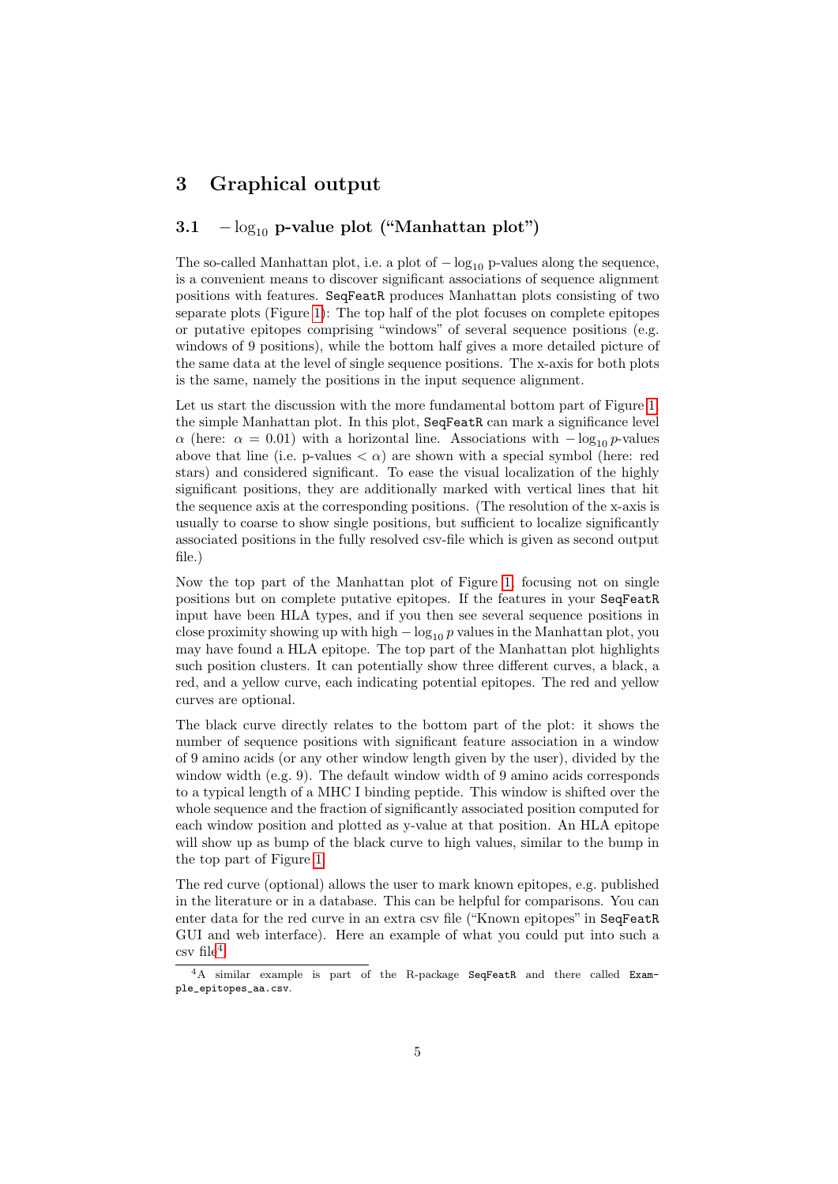## <span id="page-4-0"></span>3 Graphical output

### <span id="page-4-1"></span>3.1  $-\log_{10}$  p-value plot ("Manhattan plot")

The so-called Manhattan plot, i.e. a plot of  $-\log_{10} p$ -values along the sequence, is a convenient means to discover significant associations of sequence alignment positions with features. SeqFeatR produces Manhattan plots consisting of two separate plots (Figure [1\)](#page-5-0): The top half of the plot focuses on complete epitopes or putative epitopes comprising "windows" of several sequence positions (e.g. windows of 9 positions), while the bottom half gives a more detailed picture of the same data at the level of single sequence positions. The x-axis for both plots is the same, namely the positions in the input sequence alignment.

Let us start the discussion with the more fundamental bottom part of Figure [1,](#page-5-0) the simple Manhattan plot. In this plot, SeqFeatR can mark a significance level  $\alpha$  (here:  $\alpha = 0.01$ ) with a horizontal line. Associations with  $-\log_{10} p$ -values above that line (i.e. p-values  $\langle \alpha \rangle$ ) are shown with a special symbol (here: red stars) and considered significant. To ease the visual localization of the highly significant positions, they are additionally marked with vertical lines that hit the sequence axis at the corresponding positions. (The resolution of the x-axis is usually to coarse to show single positions, but sufficient to localize significantly associated positions in the fully resolved csv-file which is given as second output file.)

Now the top part of the Manhattan plot of Figure [1,](#page-5-0) focusing not on single positions but on complete putative epitopes. If the features in your SeqFeatR input have been HLA types, and if you then see several sequence positions in close proximity showing up with high  $-\log_{10} p$  values in the Manhattan plot, you may have found a HLA epitope. The top part of the Manhattan plot highlights such position clusters. It can potentially show three different curves, a black, a red, and a yellow curve, each indicating potential epitopes. The red and yellow curves are optional.

The black curve directly relates to the bottom part of the plot: it shows the number of sequence positions with significant feature association in a window of 9 amino acids (or any other window length given by the user), divided by the window width (e.g. 9). The default window width of 9 amino acids corresponds to a typical length of a MHC I binding peptide. This window is shifted over the whole sequence and the fraction of significantly associated position computed for each window position and plotted as y-value at that position. An HLA epitope will show up as bump of the black curve to high values, similar to the bump in the top part of Figure [1.](#page-5-0)

The red curve (optional) allows the user to mark known epitopes, e.g. published in the literature or in a database. This can be helpful for comparisons. You can enter data for the red curve in an extra csv file ("Known epitopes" in SeqFeatR GUI and web interface). Here an example of what you could put into such a  $\cos v$  file<sup>[4](#page-4-2)</sup>:

<span id="page-4-2"></span><sup>4</sup>A similar example is part of the R-package SeqFeatR and there called Example\_epitopes\_aa.csv.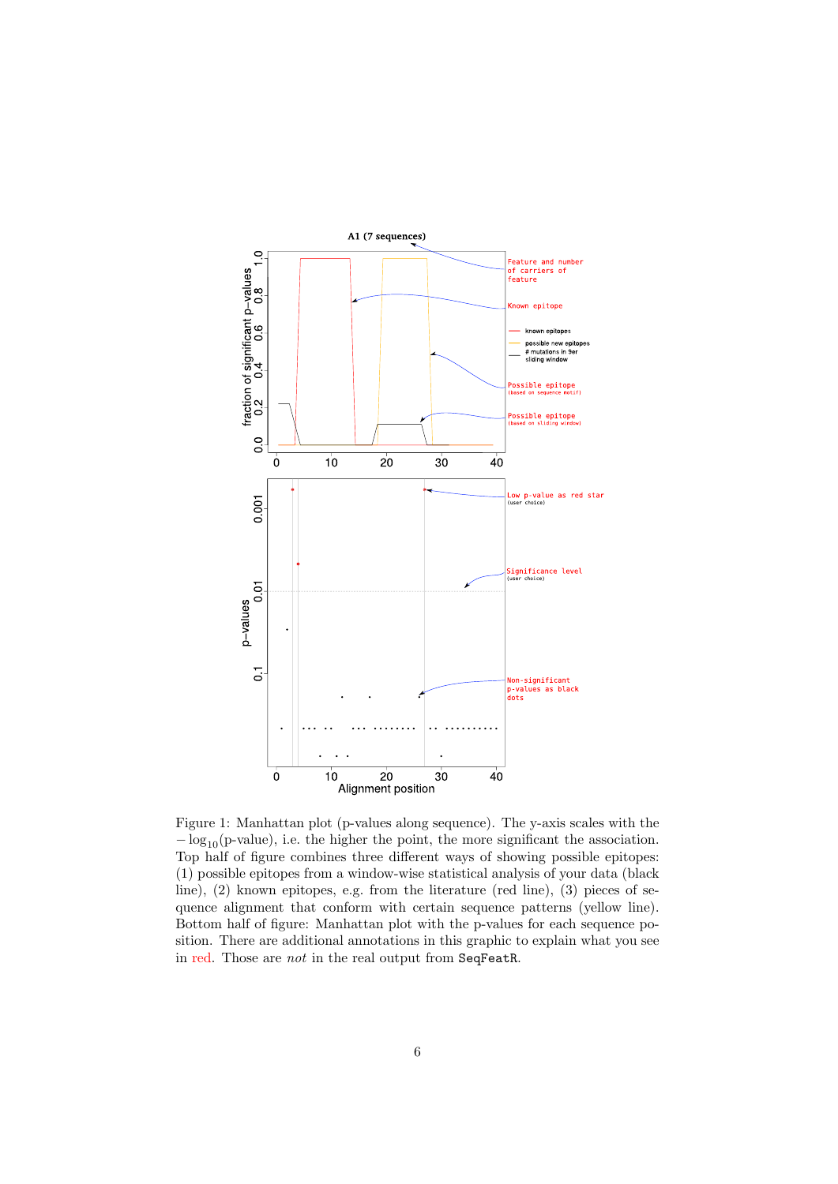<span id="page-5-0"></span>

Figure 1: Manhattan plot (p-values along sequence). The y-axis scales with the  $-\log_{10}(p\text{-value})$ , i.e. the higher the point, the more significant the association. Top half of figure combines three different ways of showing possible epitopes: (1) possible epitopes from a window-wise statistical analysis of your data (black line), (2) known epitopes, e.g. from the literature (red line), (3) pieces of sequence alignment that conform with certain sequence patterns (yellow line). Bottom half of figure: Manhattan plot with the p-values for each sequence position. There are additional annotations in this graphic to explain what you see in red. Those are not in the real output from SeqFeatR.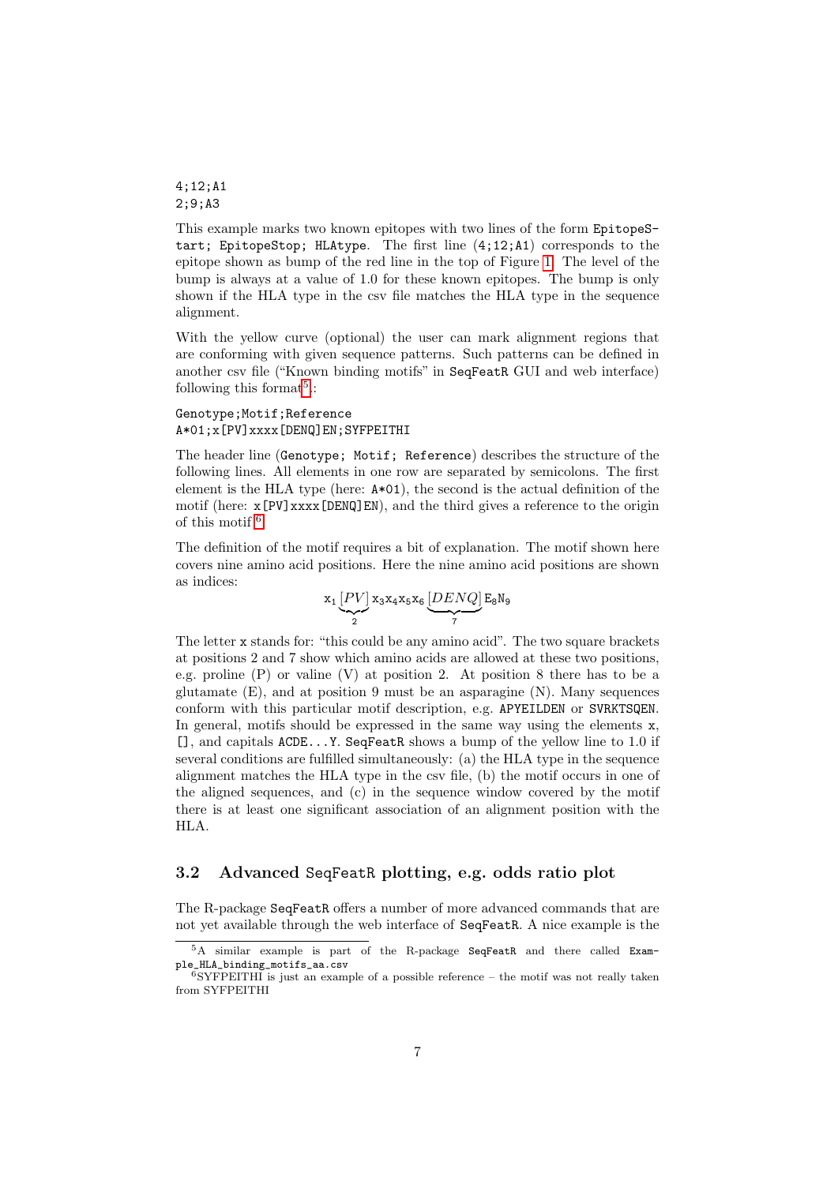4;12;A1 2;9;A3

This example marks two known epitopes with two lines of the form EpitopeStart; EpitopeStop; HLAtype. The first line (4;12;A1) corresponds to the epitope shown as bump of the red line in the top of Figure [1.](#page-5-0) The level of the bump is always at a value of 1.0 for these known epitopes. The bump is only shown if the HLA type in the csv file matches the HLA type in the sequence alignment.

With the yellow curve (optional) the user can mark alignment regions that are conforming with given sequence patterns. Such patterns can be defined in another csv file ("Known binding motifs" in SeqFeatR GUI and web interface) following this format<sup>[5](#page-6-1)</sup>.:

#### Genotype;Motif;Reference A\*01;x[PV]xxxx[DENQ]EN;SYFPEITHI

The header line (Genotype; Motif; Reference) describes the structure of the following lines. All elements in one row are separated by semicolons. The first element is the HLA type (here: A\*01), the second is the actual definition of the motif (here:  $\mathbf{x}$ [PV] $\mathbf{x}$  $\mathbf{x}$  $\mathbf{x}$  [DENQ]EN), and the third gives a reference to the origin of this motif  $6$ .

The definition of the motif requires a bit of explanation. The motif shown here covers nine amino acid positions. Here the nine amino acid positions are shown as indices:

$$
\mathtt{x_1}\underbrace{[PV]}_{2}\mathtt{x_3}\mathtt{x_4}\mathtt{x_5}\mathtt{x_6}\underbrace{[DENQ]}_{7}\mathtt{E_8}\mathtt{N_9}
$$

The letter x stands for: "this could be any amino acid". The two square brackets at positions 2 and 7 show which amino acids are allowed at these two positions, e.g. proline  $(P)$  or valine  $(V)$  at position 2. At position 8 there has to be a glutamate  $(E)$ , and at position 9 must be an asparagine  $(N)$ . Many sequences conform with this particular motif description, e.g. APYEILDEN or SVRKTSQEN. In general, motifs should be expressed in the same way using the elements  $x$ , [], and capitals ACDE...Y. SeqFeatR shows a bump of the yellow line to 1.0 if several conditions are fulfilled simultaneously: (a) the HLA type in the sequence alignment matches the HLA type in the csv file, (b) the motif occurs in one of the aligned sequences, and (c) in the sequence window covered by the motif there is at least one significant association of an alignment position with the HLA.

### <span id="page-6-0"></span>3.2 Advanced SeqFeatR plotting, e.g. odds ratio plot

The R-package SeqFeatR offers a number of more advanced commands that are not yet available through the web interface of SeqFeatR. A nice example is the

<span id="page-6-1"></span><sup>5</sup>A similar example is part of the R-package SeqFeatR and there called Example\_HLA\_binding\_motifs\_aa.csv

<span id="page-6-2"></span><sup>6</sup>SYFPEITHI is just an example of a possible reference – the motif was not really taken from SYFPEITHI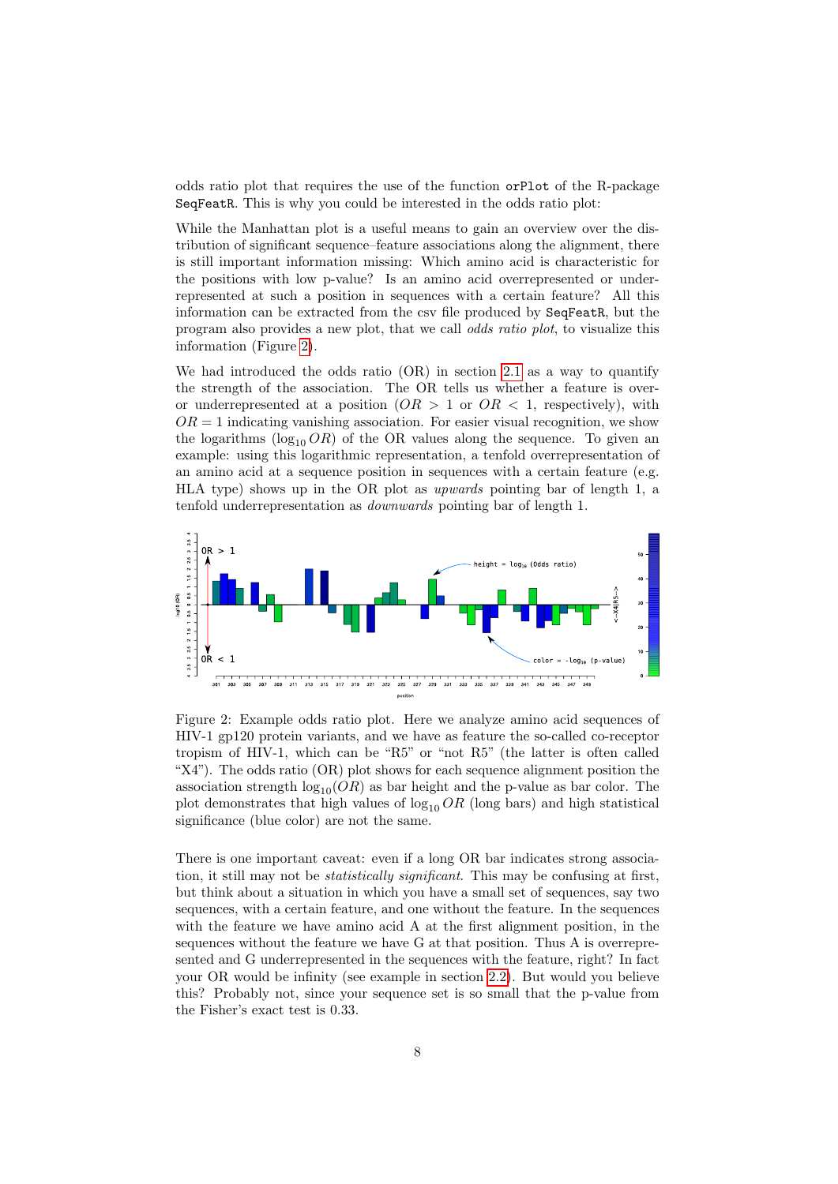odds ratio plot that requires the use of the function orPlot of the R-package SeqFeatR. This is why you could be interested in the odds ratio plot:

While the Manhattan plot is a useful means to gain an overview over the distribution of significant sequence–feature associations along the alignment, there is still important information missing: Which amino acid is characteristic for the positions with low p-value? Is an amino acid overrepresented or underrepresented at such a position in sequences with a certain feature? All this information can be extracted from the csv file produced by SeqFeatR, but the program also provides a new plot, that we call odds ratio plot, to visualize this information (Figure [2\)](#page-7-0).

We had introduced the odds ratio (OR) in section [2.1](#page-2-1) as a way to quantify the strength of the association. The OR tells us whether a feature is overor underrepresented at a position  $(OR > 1$  or  $OR < 1$ , respectively), with  $OR = 1$  indicating vanishing association. For easier visual recognition, we show the logarithms ( $log_{10} OR$ ) of the OR values along the sequence. To given an example: using this logarithmic representation, a tenfold overrepresentation of an amino acid at a sequence position in sequences with a certain feature (e.g. HLA type) shows up in the OR plot as upwards pointing bar of length 1, a tenfold underrepresentation as downwards pointing bar of length 1.

<span id="page-7-0"></span>

Figure 2: Example odds ratio plot. Here we analyze amino acid sequences of HIV-1 gp120 protein variants, and we have as feature the so-called co-receptor tropism of HIV-1, which can be "R5" or "not R5" (the latter is often called "X4"). The odds ratio (OR) plot shows for each sequence alignment position the association strength  $\log_{10}(OR)$  as bar height and the p-value as bar color. The plot demonstrates that high values of  $\log_{10} OR$  (long bars) and high statistical significance (blue color) are not the same.

There is one important caveat: even if a long OR bar indicates strong association, it still may not be *statistically significant*. This may be confusing at first, but think about a situation in which you have a small set of sequences, say two sequences, with a certain feature, and one without the feature. In the sequences with the feature we have amino acid A at the first alignment position, in the sequences without the feature we have G at that position. Thus A is overrepresented and G underrepresented in the sequences with the feature, right? In fact your OR would be infinity (see example in section [2.2\)](#page-3-0). But would you believe this? Probably not, since your sequence set is so small that the p-value from the Fisher's exact test is 0.33.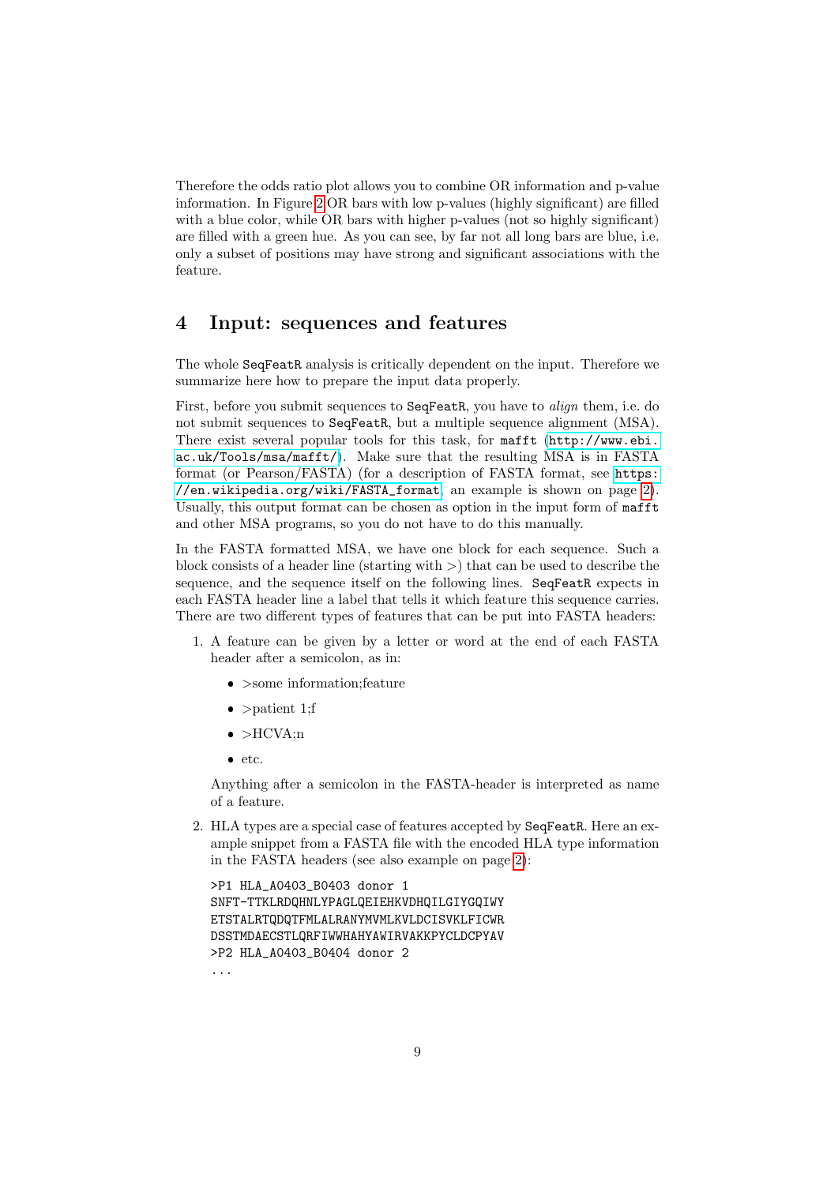Therefore the odds ratio plot allows you to combine OR information and p-value information. In Figure [2](#page-7-0) OR bars with low p-values (highly significant) are filled with a blue color, while OR bars with higher p-values (not so highly significant) are filled with a green hue. As you can see, by far not all long bars are blue, i.e. only a subset of positions may have strong and significant associations with the feature.

### <span id="page-8-0"></span>4 Input: sequences and features

The whole SeqFeatR analysis is critically dependent on the input. Therefore we summarize here how to prepare the input data properly.

First, before you submit sequences to SeqFeatR, you have to align them, i.e. do not submit sequences to SeqFeatR, but a multiple sequence alignment (MSA). There exist several popular tools for this task, for mafft ([http://www.ebi.](http://www.ebi.ac.uk/Tools/msa/mafft/) [ac.uk/Tools/msa/mafft/](http://www.ebi.ac.uk/Tools/msa/mafft/)). Make sure that the resulting MSA is in FASTA format (or Pearson/FASTA) (for a description of FASTA format, see [https:](https://en.wikipedia.org/wiki/FASTA_format) [//en.wikipedia.org/wiki/FASTA\\_format](https://en.wikipedia.org/wiki/FASTA_format), an example is shown on page [2\)](#page-1-0). Usually, this output format can be chosen as option in the input form of mafft and other MSA programs, so you do not have to do this manually.

In the FASTA formatted MSA, we have one block for each sequence. Such a block consists of a header line (starting with  $\geq$ ) that can be used to describe the sequence, and the sequence itself on the following lines. SeqFeatR expects in each FASTA header line a label that tells it which feature this sequence carries. There are two different types of features that can be put into FASTA headers:

- 1. A feature can be given by a letter or word at the end of each FASTA header after a semicolon, as in:
	- >some information;feature
	- $\bullet$  >patient 1;f
	- $\bullet$  >HCVA;n
	- $\bullet$  etc.

Anything after a semicolon in the FASTA-header is interpreted as name of a feature.

2. HLA types are a special case of features accepted by SeqFeatR. Here an example snippet from a FASTA file with the encoded HLA type information in the FASTA headers (see also example on page [2\)](#page-1-0):

```
>P1 HLA_A0403_B0403 donor 1
SNFT-TTKLRDQHNLYPAGLQEIEHKVDHQILGIYGQIWY
ETSTALRTQDQTFMLALRANYMVMLKVLDCISVKLFICWR
DSSTMDAECSTLQRFIWWHAHYAWIRVAKKPYCLDCPYAV
>P2 HLA_A0403_B0404 donor 2
...
```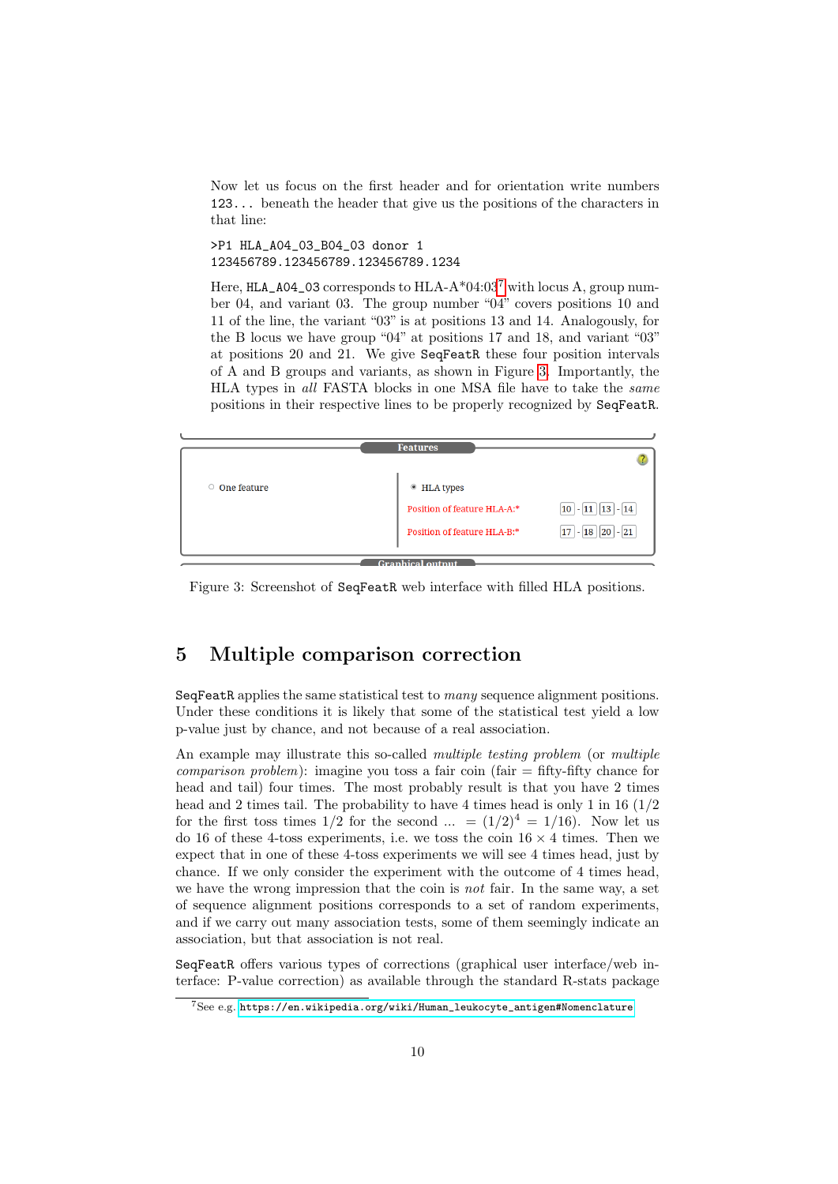Now let us focus on the first header and for orientation write numbers 123... beneath the header that give us the positions of the characters in that line:

>P1 HLA\_A04\_03\_B04\_03 donor 1 123456789.123456789.123456789.1234

Here,  $HLA_04_03$  corresponds to  $HLA_0*04:03^7$  $HLA_0*04:03^7$  with locus A, group number 04, and variant 03. The group number "04" covers positions 10 and 11 of the line, the variant "03" is at positions 13 and 14. Analogously, for the B locus we have group "04" at positions 17 and 18, and variant "03" at positions 20 and 21. We give SeqFeatR these four position intervals of A and B groups and variants, as shown in Figure [3.](#page-9-2) Importantly, the HLA types in all FASTA blocks in one MSA file have to take the same positions in their respective lines to be properly recognized by SeqFeatR.

<span id="page-9-2"></span>

Figure 3: Screenshot of SeqFeatR web interface with filled HLA positions.

## <span id="page-9-0"></span>5 Multiple comparison correction

SeqFeatR applies the same statistical test to many sequence alignment positions. Under these conditions it is likely that some of the statistical test yield a low p-value just by chance, and not because of a real association.

An example may illustrate this so-called *multiple testing problem* (or *multiple comparison problem*): imagine you toss a fair coin (fair  $=$  fifty-fifty chance for head and tail) four times. The most probably result is that you have 2 times head and 2 times tail. The probability to have 4 times head is only 1 in 16  $(1/2)$ for the first toss times  $1/2$  for the second ... =  $(1/2)^4 = 1/16$ . Now let us do 16 of these 4-toss experiments, i.e. we toss the coin  $16 \times 4$  times. Then we expect that in one of these 4-toss experiments we will see 4 times head, just by chance. If we only consider the experiment with the outcome of 4 times head, we have the wrong impression that the coin is *not* fair. In the same way, a set of sequence alignment positions corresponds to a set of random experiments, and if we carry out many association tests, some of them seemingly indicate an association, but that association is not real.

SeqFeatR offers various types of corrections (graphical user interface/web interface: P-value correction) as available through the standard R-stats package

<span id="page-9-1"></span><sup>7</sup>See e.g. [https://en.wikipedia.org/wiki/Human\\_leukocyte\\_antigen#Nomenclature](https://en.wikipedia.org/wiki/Human_leukocyte_antigen#Nomenclature)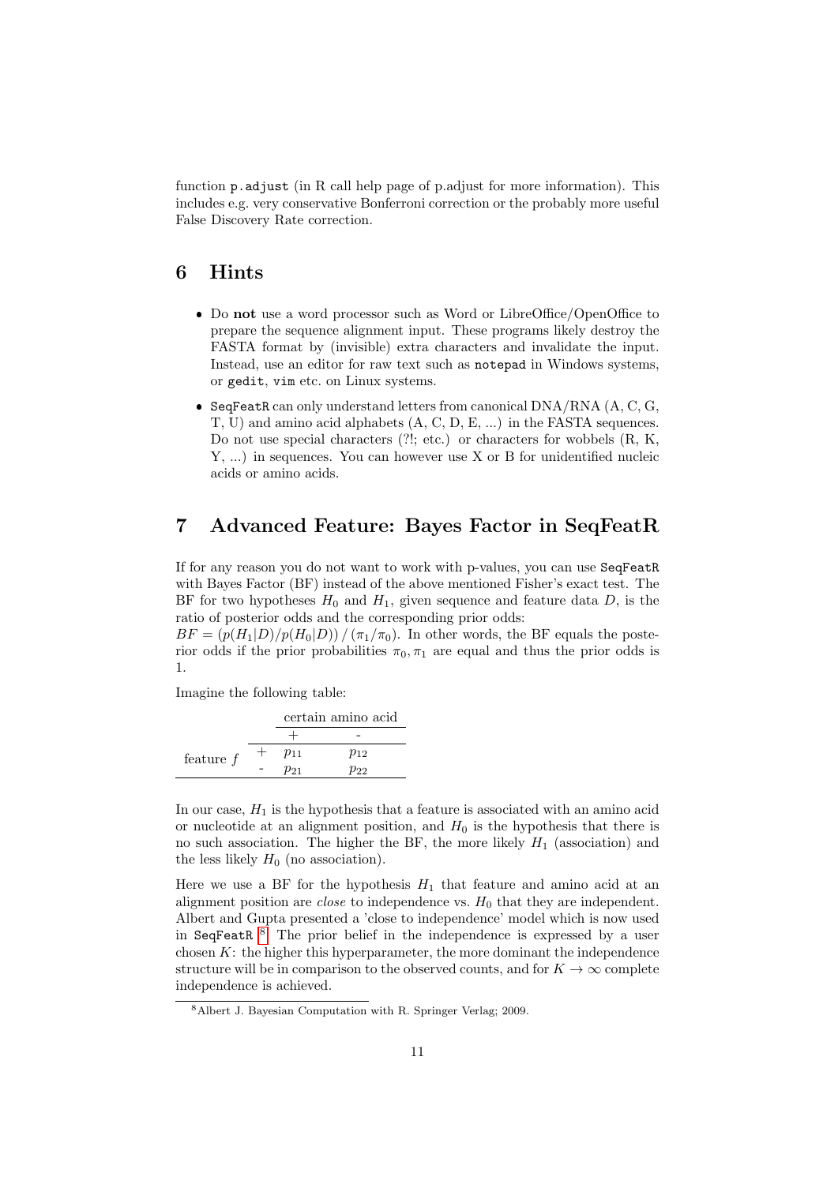function p.adjust (in R call help page of p.adjust for more information). This includes e.g. very conservative Bonferroni correction or the probably more useful False Discovery Rate correction.

### <span id="page-10-0"></span>6 Hints

- Do not use a word processor such as Word or LibreOffice/OpenOffice to prepare the sequence alignment input. These programs likely destroy the FASTA format by (invisible) extra characters and invalidate the input. Instead, use an editor for raw text such as notepad in Windows systems, or gedit, vim etc. on Linux systems.
- $\bullet$  SeqFeatR can only understand letters from canonical DNA/RNA (A, C, G, T, U) and amino acid alphabets (A, C, D, E, ...) in the FASTA sequences. Do not use special characters (?!; etc.) or characters for wobbels (R, K, Y, ...) in sequences. You can however use X or B for unidentified nucleic acids or amino acids.

### <span id="page-10-1"></span>7 Advanced Feature: Bayes Factor in SeqFeatR

If for any reason you do not want to work with p-values, you can use SeqFeatR with Bayes Factor (BF) instead of the above mentioned Fisher's exact test. The BF for two hypotheses  $H_0$  and  $H_1$ , given sequence and feature data  $D$ , is the ratio of posterior odds and the corresponding prior odds:

 $BF = (p(H_1|D)/p(H_0|D)) / (\pi_1/\pi_0)$ . In other words, the BF equals the posterior odds if the prior probabilities  $\pi_0, \pi_1$  are equal and thus the prior odds is 1.

Imagine the following table:

|             | certain amino acid |          |  |
|-------------|--------------------|----------|--|
|             |                    |          |  |
| feature $f$ | $p_{11}$           | $p_{12}$ |  |
|             | $p_{21}$           | $p_{22}$ |  |

In our case,  $H_1$  is the hypothesis that a feature is associated with an amino acid or nucleotide at an alignment position, and  $H_0$  is the hypothesis that there is no such association. The higher the BF, the more likely  $H_1$  (association) and the less likely  $H_0$  (no association).

Here we use a BF for the hypothesis  $H_1$  that feature and amino acid at an alignment position are *close* to independence vs.  $H_0$  that they are independent. Albert and Gupta presented a 'close to independence' model which is now used in SeqFeatR <sup>[8](#page-10-2)</sup>. The prior belief in the independence is expressed by a user chosen  $K$ : the higher this hyperparameter, the more dominant the independence structure will be in comparison to the observed counts, and for  $K\to\infty$  complete independence is achieved.

<span id="page-10-2"></span><sup>8</sup>Albert J. Bayesian Computation with R. Springer Verlag; 2009.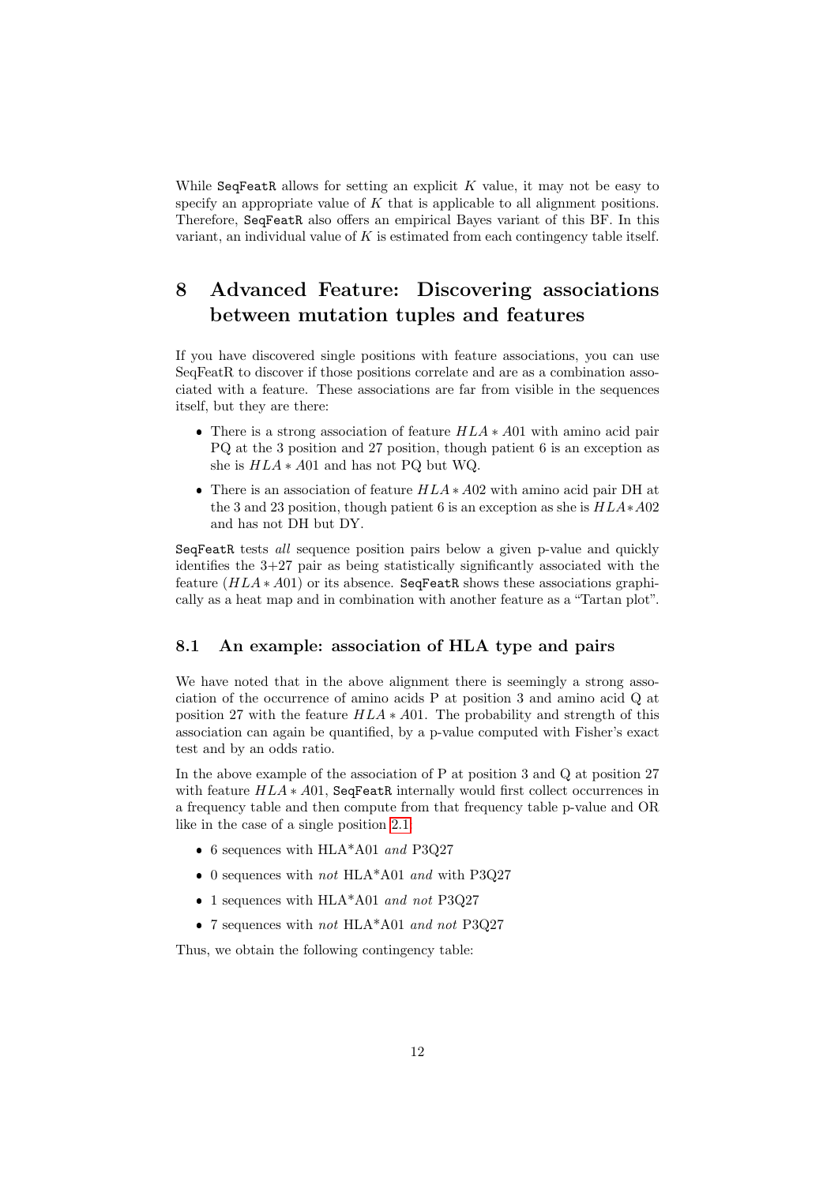While SeqFeatR allows for setting an explicit  $K$  value, it may not be easy to specify an appropriate value of  $K$  that is applicable to all alignment positions. Therefore, SeqFeatR also offers an empirical Bayes variant of this BF. In this variant, an individual value of  $K$  is estimated from each contingency table itself.

# <span id="page-11-0"></span>8 Advanced Feature: Discovering associations between mutation tuples and features

If you have discovered single positions with feature associations, you can use SeqFeatR to discover if those positions correlate and are as a combination associated with a feature. These associations are far from visible in the sequences itself, but they are there:

- There is a strong association of feature  $HLA * A01$  with amino acid pair PQ at the 3 position and 27 position, though patient 6 is an exception as she is HLA ∗ A01 and has not PQ but WQ.
- There is an association of feature  $HLA * A02$  with amino acid pair DH at the 3 and 23 position, though patient 6 is an exception as she is HLA∗A02 and has not DH but DY.

SeqFeatR tests all sequence position pairs below a given p-value and quickly identifies the 3+27 pair as being statistically significantly associated with the feature  $(HLA * A01)$  or its absence. SeqFeatR shows these associations graphically as a heat map and in combination with another feature as a "Tartan plot".

### <span id="page-11-1"></span>8.1 An example: association of HLA type and pairs

We have noted that in the above alignment there is seemingly a strong association of the occurrence of amino acids P at position 3 and amino acid Q at position 27 with the feature  $HLA * A01$ . The probability and strength of this association can again be quantified, by a p-value computed with Fisher's exact test and by an odds ratio.

In the above example of the association of P at position 3 and Q at position 27 with feature  $HLA * A01$ , SeqFeatR internally would first collect occurrences in a frequency table and then compute from that frequency table p-value and OR like in the case of a single position [2.1:](#page-2-1)

- $\bullet$  6 sequences with HLA\*A01 and P3Q27
- $\bullet$  0 sequences with  $not$  HLA\*A01  $and$  with P3Q27
- 1 sequences with HLA\*A01 and not P3Q27
- 7 sequences with *not* HLA\*A01 *and not* P3Q27

Thus, we obtain the following contingency table: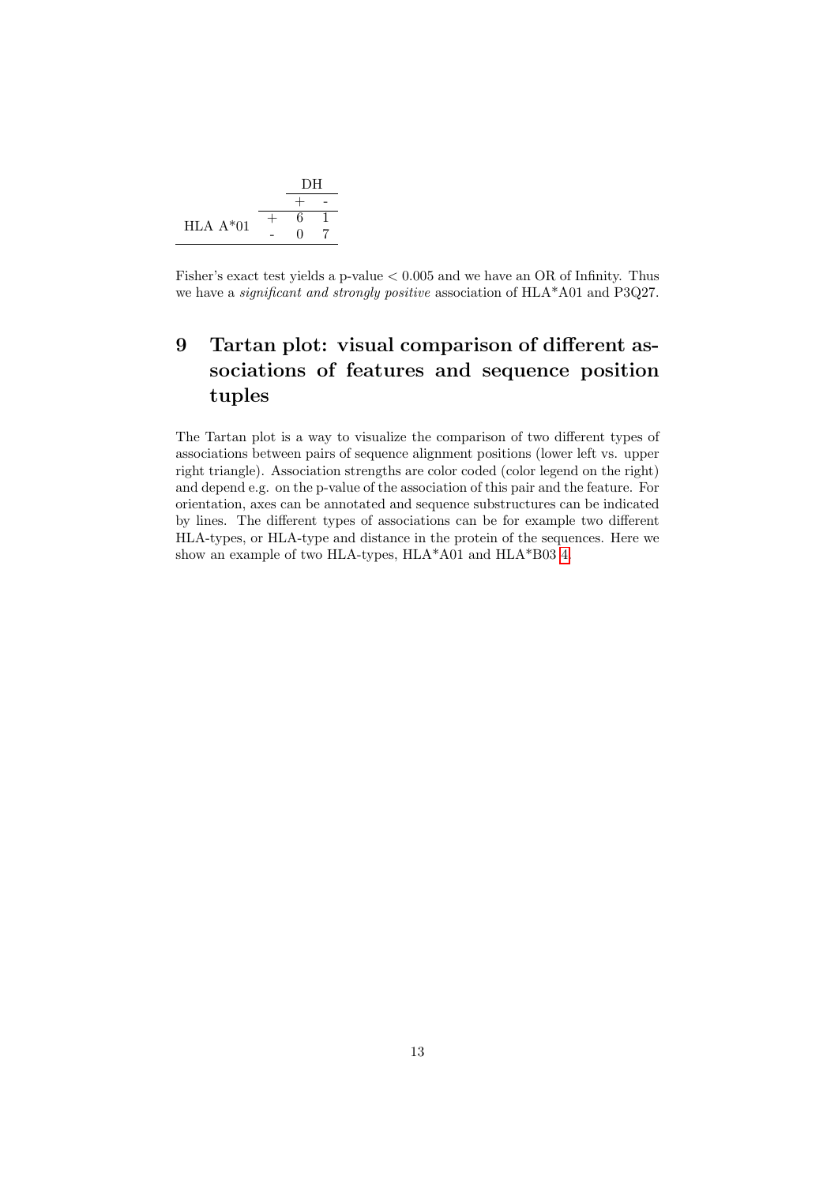

Fisher's exact test yields a p-value  $< 0.005$  and we have an OR of Infinity. Thus we have a significant and strongly positive association of HLA\*A01 and P3Q27.

# <span id="page-12-0"></span>9 Tartan plot: visual comparison of different associations of features and sequence position tuples

The Tartan plot is a way to visualize the comparison of two different types of associations between pairs of sequence alignment positions (lower left vs. upper right triangle). Association strengths are color coded (color legend on the right) and depend e.g. on the p-value of the association of this pair and the feature. For orientation, axes can be annotated and sequence substructures can be indicated by lines. The different types of associations can be for example two different HLA-types, or HLA-type and distance in the protein of the sequences. Here we show an example of two HLA-types, HLA\*A01 and HLA\*B03 [4.](#page-13-0)